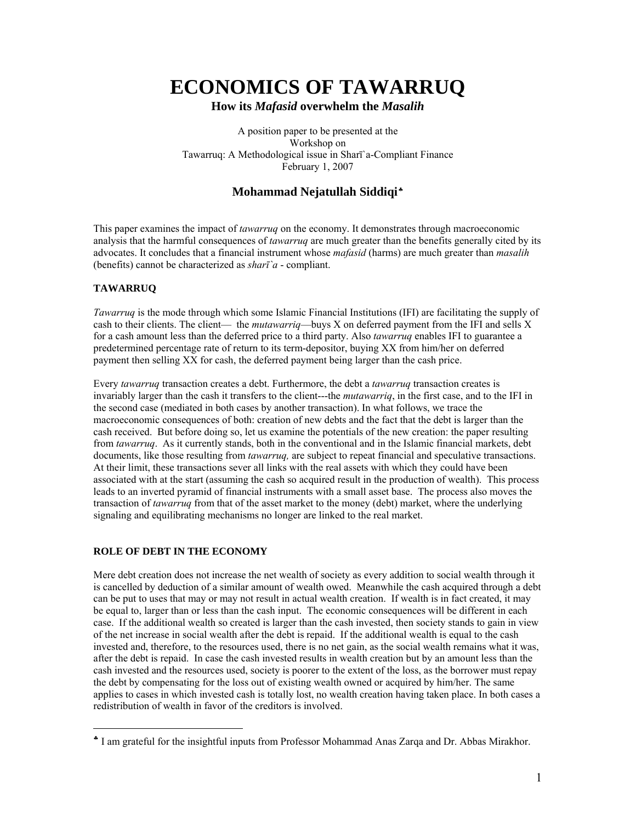# **ECONOMICS OF TAWARRUQ**

**How its** *Mafasid* **overwhelm the** *Masalih*

A position paper to be presented at the Workshop on Tawarruq: A Methodological issue in Sharī`a-Compliant Finance February 1, 2007

## **Mohammad Nejatullah Siddiqi**[♣](#page-0-0)

This paper examines the impact of *tawarruq* on the economy. It demonstrates through macroeconomic analysis that the harmful consequences of *tawarruq* are much greater than the benefits generally cited by its advocates. It concludes that a financial instrument whose *mafasid* (harms) are much greater than *masalih* (benefits) cannot be characterized as *sharī`a* - compliant.

### **TAWARRUQ**

 $\overline{a}$ 

*Tawarruq* is the mode through which some Islamic Financial Institutions (IFI) are facilitating the supply of cash to their clients. The client— the *mutawarriq*—buys X on deferred payment from the IFI and sells X for a cash amount less than the deferred price to a third party. Also *tawarruq* enables IFI to guarantee a predetermined percentage rate of return to its term-depositor, buying XX from him/her on deferred payment then selling XX for cash, the deferred payment being larger than the cash price.

Every *tawarruq* transaction creates a debt. Furthermore, the debt a *tawarruq* transaction creates is invariably larger than the cash it transfers to the client---the *mutawarriq*, in the first case, and to the IFI in the second case (mediated in both cases by another transaction). In what follows, we trace the macroeconomic consequences of both: creation of new debts and the fact that the debt is larger than the cash received. But before doing so, let us examine the potentials of the new creation: the paper resulting from *tawarruq*. As it currently stands, both in the conventional and in the Islamic financial markets, debt documents, like those resulting from *tawarruq,* are subject to repeat financial and speculative transactions. At their limit, these transactions sever all links with the real assets with which they could have been associated with at the start (assuming the cash so acquired result in the production of wealth). This process leads to an inverted pyramid of financial instruments with a small asset base. The process also moves the transaction of *tawarruq* from that of the asset market to the money (debt) market, where the underlying signaling and equilibrating mechanisms no longer are linked to the real market.

#### **ROLE OF DEBT IN THE ECONOMY**

Mere debt creation does not increase the net wealth of society as every addition to social wealth through it is cancelled by deduction of a similar amount of wealth owed. Meanwhile the cash acquired through a debt can be put to uses that may or may not result in actual wealth creation. If wealth is in fact created, it may be equal to, larger than or less than the cash input. The economic consequences will be different in each case. If the additional wealth so created is larger than the cash invested, then society stands to gain in view of the net increase in social wealth after the debt is repaid. If the additional wealth is equal to the cash invested and, therefore, to the resources used, there is no net gain, as the social wealth remains what it was, after the debt is repaid. In case the cash invested results in wealth creation but by an amount less than the cash invested and the resources used, society is poorer to the extent of the loss, as the borrower must repay the debt by compensating for the loss out of existing wealth owned or acquired by him/her. The same applies to cases in which invested cash is totally lost, no wealth creation having taken place. In both cases a redistribution of wealth in favor of the creditors is involved.

<span id="page-0-0"></span><sup>♣</sup> I am grateful for the insightful inputs from Professor Mohammad Anas Zarqa and Dr. Abbas Mirakhor.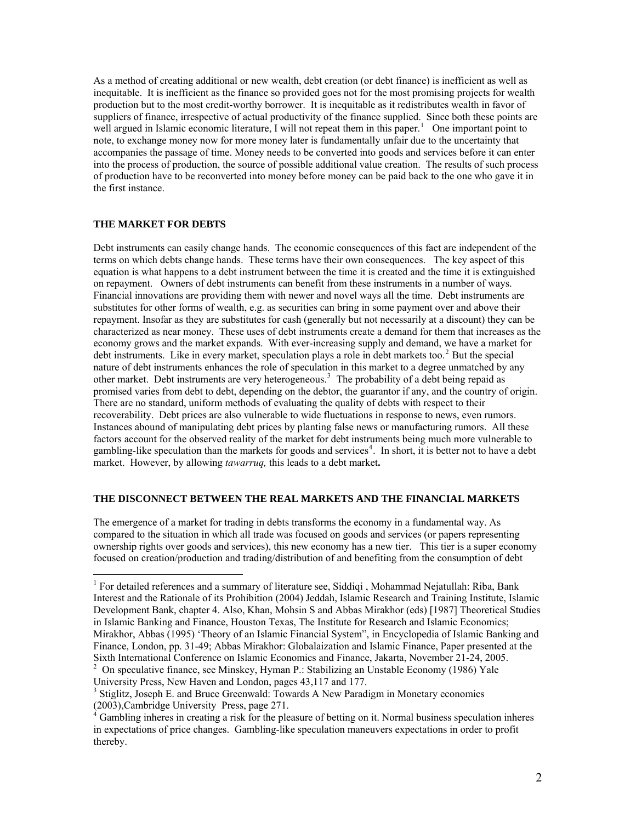As a method of creating additional or new wealth, debt creation (or debt finance) is inefficient as well as inequitable. It is inefficient as the finance so provided goes not for the most promising projects for wealth production but to the most credit-worthy borrower. It is inequitable as it redistributes wealth in favor of suppliers of finance, irrespective of actual productivity of the finance supplied. Since both these points are well argued in Islamic economic literature, I will not repeat them in this paper.<sup>[1](#page-1-0)</sup> One important point to note, to exchange money now for more money later is fundamentally unfair due to the uncertainty that accompanies the passage of time. Money needs to be converted into goods and services before it can enter into the process of production, the source of possible additional value creation. The results of such process of production have to be reconverted into money before money can be paid back to the one who gave it in the first instance.

#### **THE MARKET FOR DEBTS**

 $\overline{a}$ 

Debt instruments can easily change hands. The economic consequences of this fact are independent of the terms on which debts change hands. These terms have their own consequences. The key aspect of this equation is what happens to a debt instrument between the time it is created and the time it is extinguished on repayment. Owners of debt instruments can benefit from these instruments in a number of ways. Financial innovations are providing them with newer and novel ways all the time. Debt instruments are substitutes for other forms of wealth, e.g. as securities can bring in some payment over and above their repayment. Insofar as they are substitutes for cash (generally but not necessarily at a discount) they can be characterized as near money. These uses of debt instruments create a demand for them that increases as the economy grows and the market expands. With ever-increasing supply and demand, we have a market for debt instruments. Like in every market, speculation plays a role in debt markets too.<sup>[2](#page-1-1)</sup> But the special nature of debt instruments enhances the role of speculation in this market to a degree unmatched by any other market. Debt instruments are very heterogeneous.<sup>[3](#page-1-2)</sup> The probability of a debt being repaid as promised varies from debt to debt, depending on the debtor, the guarantor if any, and the country of origin. There are no standard, uniform methods of evaluating the quality of debts with respect to their recoverability. Debt prices are also vulnerable to wide fluctuations in response to news, even rumors. Instances abound of manipulating debt prices by planting false news or manufacturing rumors. All these factors account for the observed reality of the market for debt instruments being much more vulnerable to gambling-like speculation than the markets for goods and services<sup>[4](#page-1-3)</sup>. In short, it is better not to have a debt market. However, by allowing *tawarruq,* this leads to a debt market**.**

#### **THE DISCONNECT BETWEEN THE REAL MARKETS AND THE FINANCIAL MARKETS**

The emergence of a market for trading in debts transforms the economy in a fundamental way. As compared to the situation in which all trade was focused on goods and services (or papers representing ownership rights over goods and services), this new economy has a new tier. This tier is a super economy focused on creation/production and trading/distribution of and benefiting from the consumption of debt

<span id="page-1-1"></span>University Press, New Haven and London, pages 43,117 and 177.

<span id="page-1-0"></span><sup>&</sup>lt;sup>1</sup> For detailed references and a summary of literature see, Siddiqi, Mohammad Nejatullah: Riba, Bank Interest and the Rationale of its Prohibition (2004) Jeddah, Islamic Research and Training Institute, Islamic Development Bank, chapter 4. Also, Khan, Mohsin S and Abbas Mirakhor (eds) [1987] Theoretical Studies in Islamic Banking and Finance, Houston Texas, The Institute for Research and Islamic Economics; Mirakhor, Abbas (1995) 'Theory of an Islamic Financial System", in Encyclopedia of Islamic Banking and Finance, London, pp. 31-49; Abbas Mirakhor: Globalaization and Islamic Finance, Paper presented at the Sixth International Conference on Islamic Economics and Finance, Jakarta, November 21-24, 2005. 2 On speculative finance, see Minskey, Hyman P.: Stabilizing an Unstable Economy (1986) Yale

<span id="page-1-2"></span><sup>&</sup>lt;sup>3</sup> Stiglitz, Joseph E. and Bruce Greenwald: Towards A New Paradigm in Monetary economics

<span id="page-1-3"></span><sup>(2003),</sup>Cambridge University Press, page 271. 4 Gambling inheres in creating a risk for the pleasure of betting on it. Normal business speculation inheres in expectations of price changes. Gambling-like speculation maneuvers expectations in order to profit thereby.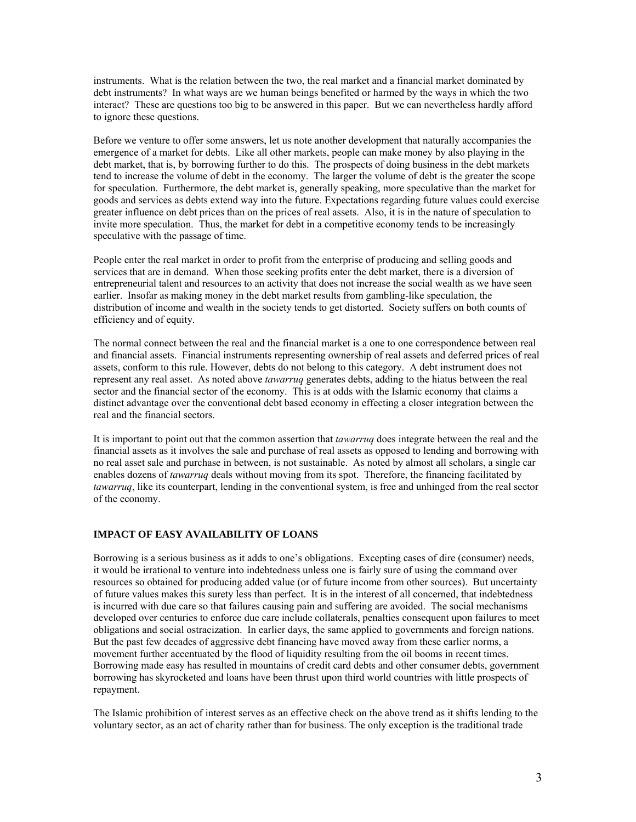instruments. What is the relation between the two, the real market and a financial market dominated by debt instruments? In what ways are we human beings benefited or harmed by the ways in which the two interact? These are questions too big to be answered in this paper. But we can nevertheless hardly afford to ignore these questions.

Before we venture to offer some answers, let us note another development that naturally accompanies the emergence of a market for debts. Like all other markets, people can make money by also playing in the debt market, that is, by borrowing further to do this. The prospects of doing business in the debt markets tend to increase the volume of debt in the economy. The larger the volume of debt is the greater the scope for speculation. Furthermore, the debt market is, generally speaking, more speculative than the market for goods and services as debts extend way into the future. Expectations regarding future values could exercise greater influence on debt prices than on the prices of real assets. Also, it is in the nature of speculation to invite more speculation. Thus, the market for debt in a competitive economy tends to be increasingly speculative with the passage of time.

People enter the real market in order to profit from the enterprise of producing and selling goods and services that are in demand. When those seeking profits enter the debt market, there is a diversion of entrepreneurial talent and resources to an activity that does not increase the social wealth as we have seen earlier. Insofar as making money in the debt market results from gambling-like speculation, the distribution of income and wealth in the society tends to get distorted. Society suffers on both counts of efficiency and of equity.

The normal connect between the real and the financial market is a one to one correspondence between real and financial assets. Financial instruments representing ownership of real assets and deferred prices of real assets, conform to this rule. However, debts do not belong to this category. A debt instrument does not represent any real asset. As noted above *tawarruq* generates debts, adding to the hiatus between the real sector and the financial sector of the economy. This is at odds with the Islamic economy that claims a distinct advantage over the conventional debt based economy in effecting a closer integration between the real and the financial sectors.

It is important to point out that the common assertion that *tawarruq* does integrate between the real and the financial assets as it involves the sale and purchase of real assets as opposed to lending and borrowing with no real asset sale and purchase in between, is not sustainable. As noted by almost all scholars, a single car enables dozens of *tawarruq* deals without moving from its spot. Therefore, the financing facilitated by *tawarruq*, like its counterpart, lending in the conventional system, is free and unhinged from the real sector of the economy.

#### **IMPACT OF EASY AVAILABILITY OF LOANS**

Borrowing is a serious business as it adds to one's obligations. Excepting cases of dire (consumer) needs, it would be irrational to venture into indebtedness unless one is fairly sure of using the command over resources so obtained for producing added value (or of future income from other sources). But uncertainty of future values makes this surety less than perfect. It is in the interest of all concerned, that indebtedness is incurred with due care so that failures causing pain and suffering are avoided. The social mechanisms developed over centuries to enforce due care include collaterals, penalties consequent upon failures to meet obligations and social ostracization. In earlier days, the same applied to governments and foreign nations. But the past few decades of aggressive debt financing have moved away from these earlier norms, a movement further accentuated by the flood of liquidity resulting from the oil booms in recent times. Borrowing made easy has resulted in mountains of credit card debts and other consumer debts, government borrowing has skyrocketed and loans have been thrust upon third world countries with little prospects of repayment.

The Islamic prohibition of interest serves as an effective check on the above trend as it shifts lending to the voluntary sector, as an act of charity rather than for business. The only exception is the traditional trade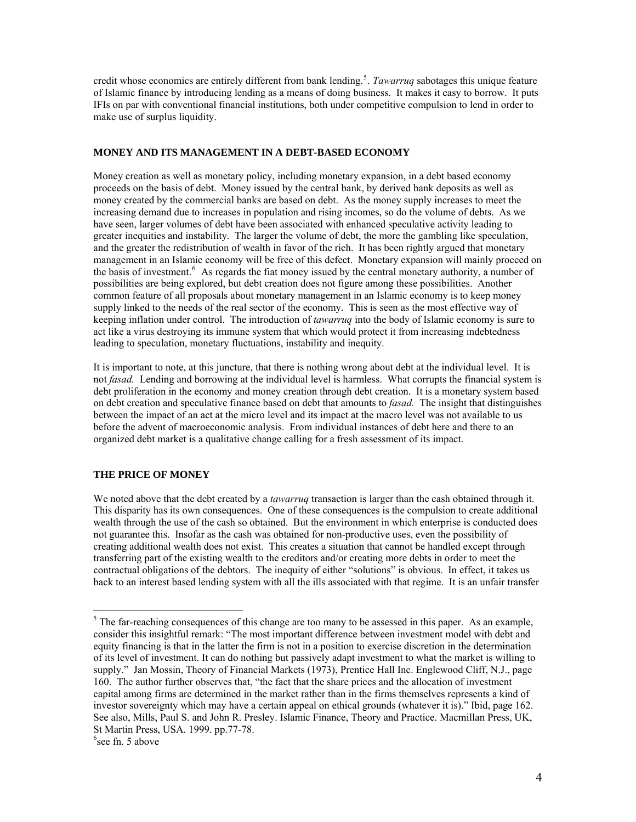credit whose economics are entirely different from bank lending.<sup>[5](#page-3-0)</sup>. *Tawarruq* sabotages this unique feature of Islamic finance by introducing lending as a means of doing business. It makes it easy to borrow. It puts IFIs on par with conventional financial institutions, both under competitive compulsion to lend in order to make use of surplus liquidity.

#### **MONEY AND ITS MANAGEMENT IN A DEBT-BASED ECONOMY**

Money creation as well as monetary policy, including monetary expansion, in a debt based economy proceeds on the basis of debt. Money issued by the central bank, by derived bank deposits as well as money created by the commercial banks are based on debt. As the money supply increases to meet the increasing demand due to increases in population and rising incomes, so do the volume of debts. As we have seen, larger volumes of debt have been associated with enhanced speculative activity leading to greater inequities and instability. The larger the volume of debt, the more the gambling like speculation, and the greater the redistribution of wealth in favor of the rich. It has been rightly argued that monetary management in an Islamic economy will be free of this defect. Monetary expansion will mainly proceed on the basis of investment.<sup>[6](#page-3-1)</sup> As regards the fiat money issued by the central monetary authority, a number of possibilities are being explored, but debt creation does not figure among these possibilities. Another common feature of all proposals about monetary management in an Islamic economy is to keep money supply linked to the needs of the real sector of the economy. This is seen as the most effective way of keeping inflation under control. The introduction of *tawarruq* into the body of Islamic economy is sure to act like a virus destroying its immune system that which would protect it from increasing indebtedness leading to speculation, monetary fluctuations, instability and inequity.

It is important to note, at this juncture, that there is nothing wrong about debt at the individual level. It is not *fasad.* Lending and borrowing at the individual level is harmless. What corrupts the financial system is debt proliferation in the economy and money creation through debt creation. It is a monetary system based on debt creation and speculative finance based on debt that amounts to *fasad.* The insight that distinguishes between the impact of an act at the micro level and its impact at the macro level was not available to us before the advent of macroeconomic analysis. From individual instances of debt here and there to an organized debt market is a qualitative change calling for a fresh assessment of its impact.

#### **THE PRICE OF MONEY**

We noted above that the debt created by a *tawarrug* transaction is larger than the cash obtained through it. This disparity has its own consequences. One of these consequences is the compulsion to create additional wealth through the use of the cash so obtained. But the environment in which enterprise is conducted does not guarantee this. Insofar as the cash was obtained for non-productive uses, even the possibility of creating additional wealth does not exist. This creates a situation that cannot be handled except through transferring part of the existing wealth to the creditors and/or creating more debts in order to meet the contractual obligations of the debtors. The inequity of either "solutions" is obvious. In effect, it takes us back to an interest based lending system with all the ills associated with that regime. It is an unfair transfer

 $\overline{a}$ 

<span id="page-3-0"></span> $<sup>5</sup>$  The far-reaching consequences of this change are too many to be assessed in this paper. As an example,</sup> consider this insightful remark: "The most important difference between investment model with debt and equity financing is that in the latter the firm is not in a position to exercise discretion in the determination of its level of investment. It can do nothing but passively adapt investment to what the market is willing to supply." Jan Mossin, Theory of Financial Markets (1973), Prentice Hall Inc. Englewood Cliff, N.J., page 160. The author further observes that, "the fact that the share prices and the allocation of investment capital among firms are determined in the market rather than in the firms themselves represents a kind of investor sovereignty which may have a certain appeal on ethical grounds (whatever it is)." Ibid, page 162. See also, Mills, Paul S. and John R. Presley. Islamic Finance, Theory and Practice. Macmillan Press, UK, St Martin Press, USA. 1999. pp.77-78.

<span id="page-3-1"></span><sup>6</sup> see fn. 5 above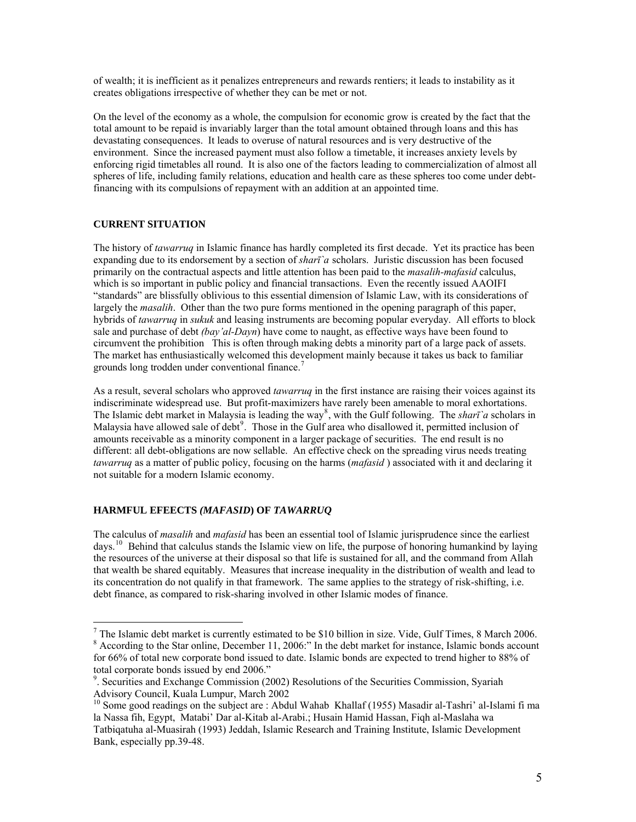of wealth; it is inefficient as it penalizes entrepreneurs and rewards rentiers; it leads to instability as it creates obligations irrespective of whether they can be met or not.

On the level of the economy as a whole, the compulsion for economic grow is created by the fact that the total amount to be repaid is invariably larger than the total amount obtained through loans and this has devastating consequences. It leads to overuse of natural resources and is very destructive of the environment. Since the increased payment must also follow a timetable, it increases anxiety levels by enforcing rigid timetables all round. It is also one of the factors leading to commercialization of almost all spheres of life, including family relations, education and health care as these spheres too come under debtfinancing with its compulsions of repayment with an addition at an appointed time.

#### **CURRENT SITUATION**

 $\overline{a}$ 

The history of *tawarruq* in Islamic finance has hardly completed its first decade. Yet its practice has been expanding due to its endorsement by a section of *sharī`a* scholars. Juristic discussion has been focused primarily on the contractual aspects and little attention has been paid to the *masalih-mafasid* calculus, which is so important in public policy and financial transactions. Even the recently issued AAOIFI "standards" are blissfully oblivious to this essential dimension of Islamic Law, with its considerations of largely the *masalih*. Other than the two pure forms mentioned in the opening paragraph of this paper, hybrids of *tawarruq* in *sukuk* and leasing instruments are becoming popular everyday. All efforts to block sale and purchase of debt *(bay'al-Dayn*) have come to naught, as effective ways have been found to circumvent the prohibition This is often through making debts a minority part of a large pack of assets. The market has enthusiastically welcomed this development mainly because it takes us back to familiar grounds long trodden under conventional finance.<sup>[7](#page-4-0)</sup>

As a result, several scholars who approved *tawarruq* in the first instance are raising their voices against its indiscriminate widespread use. But profit-maximizers have rarely been amenable to moral exhortations. The Islamic debt market in Malaysia is leading the way<sup>[8](#page-4-1)</sup>, with the Gulf following. The *sharī*  $\alpha$  scholars in Malaysia have allowed sale of debt<sup>[9](#page-4-2)</sup>. Those in the Gulf area who disallowed it, permitted inclusion of amounts receivable as a minority component in a larger package of securities. The end result is no different: all debt-obligations are now sellable. An effective check on the spreading virus needs treating *tawarruq* as a matter of public policy, focusing on the harms (*mafasid* ) associated with it and declaring it not suitable for a modern Islamic economy.

#### **HARMFUL EFEECTS** *(MAFASID***) OF** *TAWARRUQ*

The calculus of *masalih* and *mafasid* has been an essential tool of Islamic jurisprudence since the earliest days.<sup>[10](#page-4-3)</sup> Behind that calculus stands the Islamic view on life, the purpose of honoring humankind by laying the resources of the universe at their disposal so that life is sustained for all, and the command from Allah that wealth be shared equitably. Measures that increase inequality in the distribution of wealth and lead to its concentration do not qualify in that framework. The same applies to the strategy of risk-shifting, i.e. debt finance, as compared to risk-sharing involved in other Islamic modes of finance.

<span id="page-4-1"></span><span id="page-4-0"></span>The Islamic debt market is currently estimated to be \$10 billion in size. Vide, Gulf Times, 8 March 2006. <sup>8</sup> According to the Star online, December 11, 2006:" In the debt market for instance, Islamic bonds account for 66% of total new corporate bond issued to date. Islamic bonds are expected to trend higher to 88% of total corporate bonds issued by end 2006."

<span id="page-4-2"></span><sup>&</sup>lt;sup>9</sup>. Securities and Exchange Commission (2002) Resolutions of the Securities Commission, Syariah Advisory Council, Kuala Lumpur, March 2002

<span id="page-4-3"></span><sup>&</sup>lt;sup>10</sup> Some good readings on the subject are : Abdul Wahab Khallaf (1955) Masadir al-Tashri' al-Islami fi ma la Nassa fih, Egypt, Matabi' Dar al-Kitab al-Arabi.; Husain Hamid Hassan, Fiqh al-Maslaha wa Tatbiqatuha al-Muasirah (1993) Jeddah, Islamic Research and Training Institute, Islamic Development Bank, especially pp.39-48.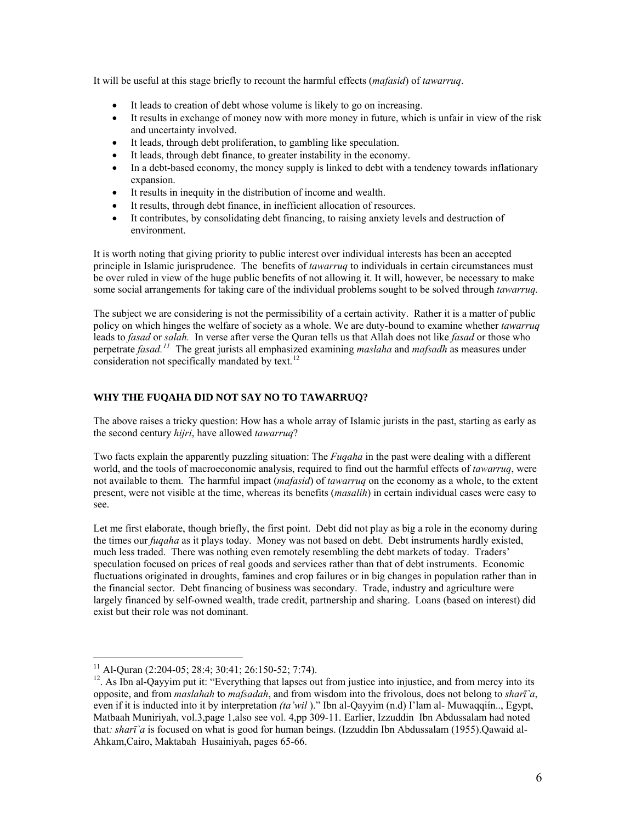It will be useful at this stage briefly to recount the harmful effects (*mafasid*) of *tawarruq*.

- It leads to creation of debt whose volume is likely to go on increasing.
- It results in exchange of money now with more money in future, which is unfair in view of the risk and uncertainty involved.
- It leads, through debt proliferation, to gambling like speculation.
- It leads, through debt finance, to greater instability in the economy.
- In a debt-based economy, the money supply is linked to debt with a tendency towards inflationary expansion.
- It results in inequity in the distribution of income and wealth.
- It results, through debt finance, in inefficient allocation of resources.
- It contributes, by consolidating debt financing, to raising anxiety levels and destruction of environment.

It is worth noting that giving priority to public interest over individual interests has been an accepted principle in Islamic jurisprudence. The benefits of *tawarruq* to individuals in certain circumstances must be over ruled in view of the huge public benefits of not allowing it. It will, however, be necessary to make some social arrangements for taking care of the individual problems sought to be solved through *tawarruq.*

The subject we are considering is not the permissibility of a certain activity. Rather it is a matter of public policy on which hinges the welfare of society as a whole. We are duty-bound to examine whether *tawarruq* leads to *fasad* or *salah.* In verse after verse the Quran tells us that Allah does not like *fasad* or those who perpetrate *fasad.[11](#page-5-0)* The great jurists all emphasized examining *maslaha* and *mafsadh* as measures under consideration not specifically mandated by text. $12$ 

## **WHY THE FUQAHA DID NOT SAY NO TO TAWARRUQ?**

The above raises a tricky question: How has a whole array of Islamic jurists in the past, starting as early as the second century *hijri*, have allowed *tawarruq*?

Two facts explain the apparently puzzling situation: The *Fuqaha* in the past were dealing with a different world, and the tools of macroeconomic analysis, required to find out the harmful effects of *tawarruq*, were not available to them. The harmful impact (*mafasid*) of *tawarruq* on the economy as a whole, to the extent present, were not visible at the time, whereas its benefits (*masalih*) in certain individual cases were easy to see.

Let me first elaborate, though briefly, the first point. Debt did not play as big a role in the economy during the times our *fuqaha* as it plays today. Money was not based on debt. Debt instruments hardly existed, much less traded. There was nothing even remotely resembling the debt markets of today. Traders' speculation focused on prices of real goods and services rather than that of debt instruments. Economic fluctuations originated in droughts, famines and crop failures or in big changes in population rather than in the financial sector. Debt financing of business was secondary. Trade, industry and agriculture were largely financed by self-owned wealth, trade credit, partnership and sharing. Loans (based on interest) did exist but their role was not dominant.

 $\overline{a}$ 

<sup>&</sup>lt;sup>11</sup> Al-Quran (2:204-05; 28:4; 30:41; 26:150-52; 7:74).

<span id="page-5-1"></span><span id="page-5-0"></span><sup>&</sup>lt;sup>12</sup>. As Ibn al-Qayyim put it: "Everything that lapses out from justice into injustice, and from mercy into its opposite, and from *maslahah* to *mafsadah*, and from wisdom into the frivolous, does not belong to *sharī`a*, even if it is inducted into it by interpretation *(ta'wil* )." Ibn al-Qayyim (n.d) I'lam al- Muwaqqiín.., Egypt, Matbaah Muniriyah, vol.3,page 1,also see vol. 4,pp 309-11. Earlier, Izzuddin Ibn Abdussalam had noted that*: sharī`a* is focused on what is good for human beings. (Izzuddin Ibn Abdussalam (1955).Qawaid al-Ahkam,Cairo, Maktabah Husainiyah, pages 65-66.